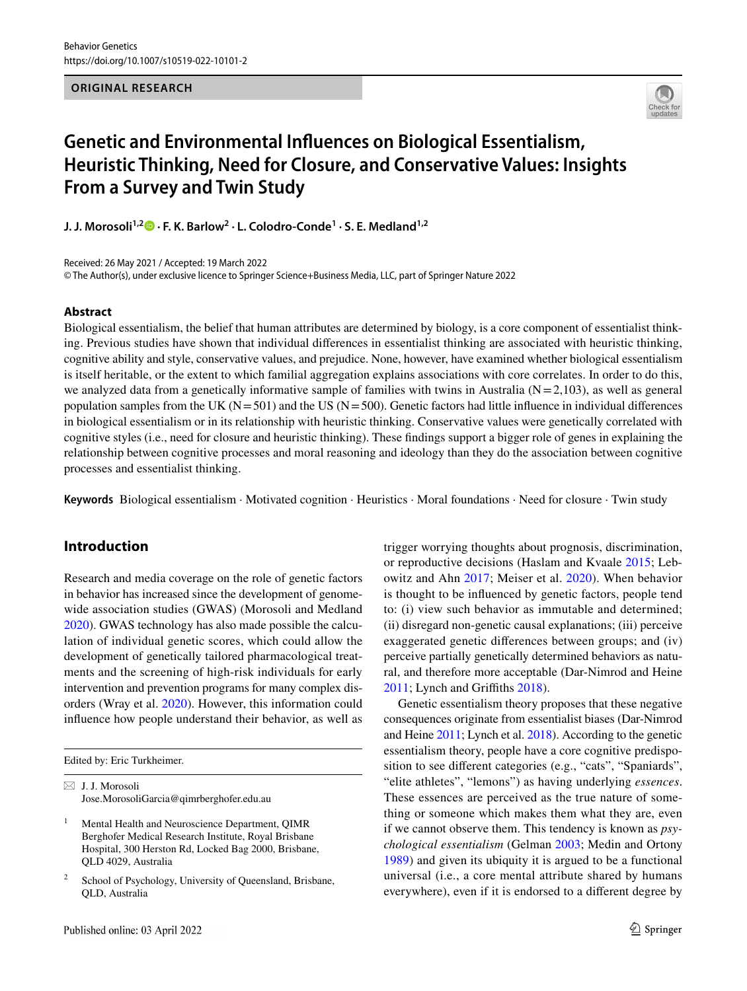# **ORIGINAL RESEARCH**



# **Genetic and Environmental Influences on Biological Essentialism, Heuristic Thinking, Need for Closure, and Conservative Values: Insights From a Survey and Twin Study**

**J. J. Morosoli1,2 · F. K. Barlow<sup>2</sup> · L. Colodro‑Conde<sup>1</sup> · S. E. Medland1,2**

Received: 26 May 2021 / Accepted: 19 March 2022

© The Author(s), under exclusive licence to Springer Science+Business Media, LLC, part of Springer Nature 2022

#### **Abstract**

Biological essentialism, the belief that human attributes are determined by biology, is a core component of essentialist thinking. Previous studies have shown that individual differences in essentialist thinking are associated with heuristic thinking, cognitive ability and style, conservative values, and prejudice. None, however, have examined whether biological essentialism is itself heritable, or the extent to which familial aggregation explains associations with core correlates. In order to do this, we analyzed data from a genetically informative sample of families with twins in Australia ( $N = 2,103$ ), as well as general population samples from the UK ( $N = 501$ ) and the US ( $N = 500$ ). Genetic factors had little influence in individual differences in biological essentialism or in its relationship with heuristic thinking. Conservative values were genetically correlated with cognitive styles (i.e., need for closure and heuristic thinking). These findings support a bigger role of genes in explaining the relationship between cognitive processes and moral reasoning and ideology than they do the association between cognitive processes and essentialist thinking.

**Keywords** Biological essentialism · Motivated cognition · Heuristics · Moral foundations · Need for closure · Twin study

# **Introduction**

Research and media coverage on the role of genetic factors in behavior has increased since the development of genomewide association studies (GWAS) (Morosoli and Medland [2020](#page-12-0)). GWAS technology has also made possible the calculation of individual genetic scores, which could allow the development of genetically tailored pharmacological treatments and the screening of high-risk individuals for early intervention and prevention programs for many complex disorders (Wray et al. [2020](#page-12-1)). However, this information could influence how people understand their behavior, as well as

 $\boxtimes$  J. J. Morosoli Jose.MorosoliGarcia@qimrberghofer.edu.au

- 1 Mental Health and Neuroscience Department, QIMR Berghofer Medical Research Institute, Royal Brisbane Hospital, 300 Herston Rd, Locked Bag 2000, Brisbane, QLD 4029, Australia
- 2 School of Psychology, University of Queensland, Brisbane, QLD, Australia

trigger worrying thoughts about prognosis, discrimination, or reproductive decisions (Haslam and Kvaale [2015](#page-11-0); Lebowitz and Ahn [2017;](#page-11-1) Meiser et al. [2020](#page-12-2)). When behavior is thought to be influenced by genetic factors, people tend to: (i) view such behavior as immutable and determined; (ii) disregard non-genetic causal explanations; (iii) perceive exaggerated genetic differences between groups; and (iv) perceive partially genetically determined behaviors as natural, and therefore more acceptable (Dar-Nimrod and Heine [2011](#page-11-2); Lynch and Griffiths [2018\)](#page-12-3).

Genetic essentialism theory proposes that these negative consequences originate from essentialist biases (Dar-Nimrod and Heine [2011;](#page-11-2) Lynch et al. [2018](#page-12-3)). According to the genetic essentialism theory, people have a core cognitive predisposition to see different categories (e.g., "cats", "Spaniards", "elite athletes", "lemons") as having underlying *essences*. These essences are perceived as the true nature of something or someone which makes them what they are, even if we cannot observe them. This tendency is known as *psychological essentialism* (Gelman [2003](#page-11-3); Medin and Ortony [1989](#page-12-4)) and given its ubiquity it is argued to be a functional universal (i.e., a core mental attribute shared by humans everywhere), even if it is endorsed to a different degree by

Edited by: Eric Turkheimer.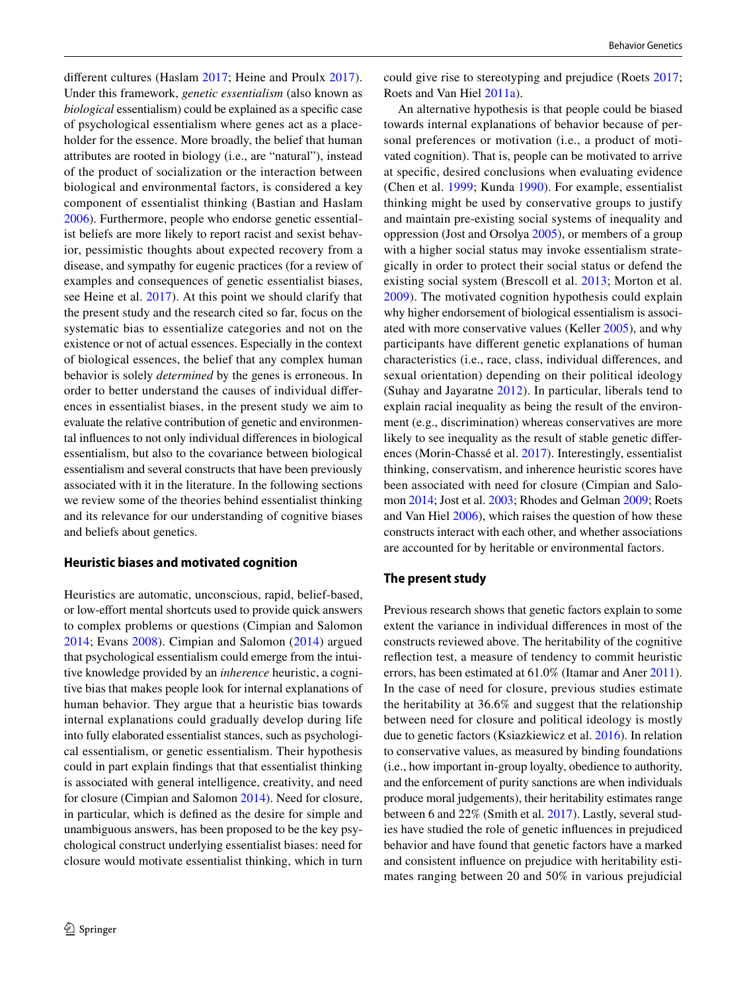different cultures (Haslam [2017;](#page-11-4) Heine and Proulx [2017](#page-11-5)). Under this framework, *genetic essentialism* (also known as *biological* essentialism) could be explained as a specific case of psychological essentialism where genes act as a placeholder for the essence. More broadly, the belief that human attributes are rooted in biology (i.e., are "natural"), instead of the product of socialization or the interaction between biological and environmental factors, is considered a key component of essentialist thinking (Bastian and Haslam [2006](#page-11-6)). Furthermore, people who endorse genetic essentialist beliefs are more likely to report racist and sexist behavior, pessimistic thoughts about expected recovery from a disease, and sympathy for eugenic practices (for a review of examples and consequences of genetic essentialist biases, see Heine et al. [2017\)](#page-11-5). At this point we should clarify that the present study and the research cited so far, focus on the systematic bias to essentialize categories and not on the existence or not of actual essences. Especially in the context of biological essences, the belief that any complex human behavior is solely *determined* by the genes is erroneous. In order to better understand the causes of individual differences in essentialist biases, in the present study we aim to evaluate the relative contribution of genetic and environmental influences to not only individual differences in biological essentialism, but also to the covariance between biological essentialism and several constructs that have been previously associated with it in the literature. In the following sections we review some of the theories behind essentialist thinking and its relevance for our understanding of cognitive biases and beliefs about genetics.

### **Heuristic biases and motivated cognition**

Heuristics are automatic, unconscious, rapid, belief-based, or low-effort mental shortcuts used to provide quick answers to complex problems or questions (Cimpian and Salomon [2014;](#page-11-7) Evans [2008\)](#page-11-8). Cimpian and Salomon [\(2014\)](#page-11-7) argued that psychological essentialism could emerge from the intuitive knowledge provided by an *inherence* heuristic, a cognitive bias that makes people look for internal explanations of human behavior. They argue that a heuristic bias towards internal explanations could gradually develop during life into fully elaborated essentialist stances, such as psychological essentialism, or genetic essentialism. Their hypothesis could in part explain findings that that essentialist thinking is associated with general intelligence, creativity, and need for closure (Cimpian and Salomon [2014](#page-11-7)). Need for closure, in particular, which is defined as the desire for simple and unambiguous answers, has been proposed to be the key psychological construct underlying essentialist biases: need for closure would motivate essentialist thinking, which in turn

could give rise to stereotyping and prejudice (Roets [2017](#page-12-5); Roets and Van Hiel [2011a](#page-12-6)).

An alternative hypothesis is that people could be biased towards internal explanations of behavior because of personal preferences or motivation (i.e., a product of motivated cognition). That is, people can be motivated to arrive at specific, desired conclusions when evaluating evidence (Chen et al. [1999](#page-11-9); Kunda [1990\)](#page-11-10). For example, essentialist thinking might be used by conservative groups to justify and maintain pre-existing social systems of inequality and oppression (Jost and Orsolya [2005\)](#page-11-11), or members of a group with a higher social status may invoke essentialism strategically in order to protect their social status or defend the existing social system (Brescoll et al. [2013](#page-11-12); Morton et al. [2009\)](#page-12-7). The motivated cognition hypothesis could explain why higher endorsement of biological essentialism is associated with more conservative values (Keller [2005\)](#page-11-13), and why participants have different genetic explanations of human characteristics (i.e., race, class, individual differences, and sexual orientation) depending on their political ideology (Suhay and Jayaratne [2012](#page-12-8)). In particular, liberals tend to explain racial inequality as being the result of the environment (e.g., discrimination) whereas conservatives are more likely to see inequality as the result of stable genetic differences (Morin-Chassé et al. [2017](#page-12-9)). Interestingly, essentialist thinking, conservatism, and inherence heuristic scores have been associated with need for closure (Cimpian and Salomon [2014](#page-11-7); Jost et al. [2003;](#page-11-14) Rhodes and Gelman [2009;](#page-12-10) Roets and Van Hiel [2006](#page-12-11)), which raises the question of how these constructs interact with each other, and whether associations are accounted for by heritable or environmental factors.

#### **The present study**

Previous research shows that genetic factors explain to some extent the variance in individual differences in most of the constructs reviewed above. The heritability of the cognitive reflection test, a measure of tendency to commit heuristic errors, has been estimated at 61.0% (Itamar and Aner [2011](#page-11-15)). In the case of need for closure, previous studies estimate the heritability at 36.6% and suggest that the relationship between need for closure and political ideology is mostly due to genetic factors (Ksiazkiewicz et al. [2016\)](#page-11-16). In relation to conservative values, as measured by binding foundations (i.e., how important in-group loyalty, obedience to authority, and the enforcement of purity sanctions are when individuals produce moral judgements), their heritability estimates range between 6 and 22% (Smith et al. [2017\)](#page-12-12). Lastly, several studies have studied the role of genetic influences in prejudiced behavior and have found that genetic factors have a marked and consistent influence on prejudice with heritability estimates ranging between 20 and 50% in various prejudicial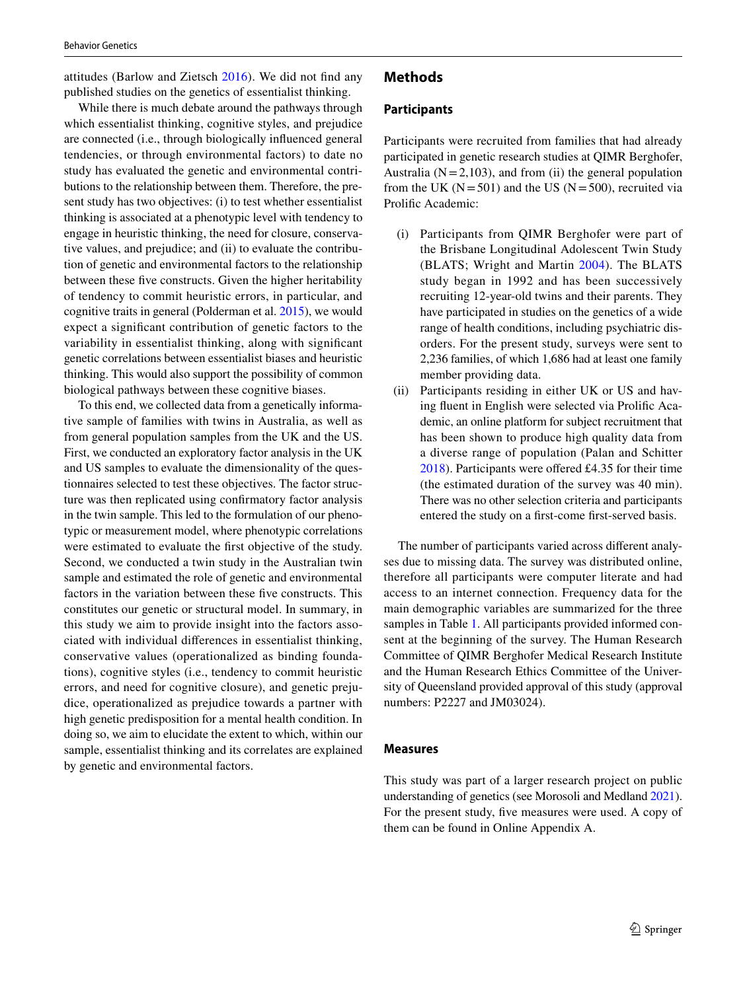attitudes (Barlow and Zietsch [2016\)](#page-11-17). We did not find any published studies on the genetics of essentialist thinking.

While there is much debate around the pathways through which essentialist thinking, cognitive styles, and prejudice are connected (i.e., through biologically influenced general tendencies, or through environmental factors) to date no study has evaluated the genetic and environmental contributions to the relationship between them. Therefore, the present study has two objectives: (i) to test whether essentialist thinking is associated at a phenotypic level with tendency to engage in heuristic thinking, the need for closure, conservative values, and prejudice; and (ii) to evaluate the contribution of genetic and environmental factors to the relationship between these five constructs. Given the higher heritability of tendency to commit heuristic errors, in particular, and cognitive traits in general (Polderman et al. [2015\)](#page-12-13), we would expect a significant contribution of genetic factors to the variability in essentialist thinking, along with significant genetic correlations between essentialist biases and heuristic thinking. This would also support the possibility of common biological pathways between these cognitive biases.

To this end, we collected data from a genetically informative sample of families with twins in Australia, as well as from general population samples from the UK and the US. First, we conducted an exploratory factor analysis in the UK and US samples to evaluate the dimensionality of the questionnaires selected to test these objectives. The factor structure was then replicated using confirmatory factor analysis in the twin sample. This led to the formulation of our phenotypic or measurement model, where phenotypic correlations were estimated to evaluate the first objective of the study. Second, we conducted a twin study in the Australian twin sample and estimated the role of genetic and environmental factors in the variation between these five constructs. This constitutes our genetic or structural model. In summary, in this study we aim to provide insight into the factors associated with individual differences in essentialist thinking, conservative values (operationalized as binding foundations), cognitive styles (i.e., tendency to commit heuristic errors, and need for cognitive closure), and genetic prejudice, operationalized as prejudice towards a partner with high genetic predisposition for a mental health condition. In doing so, we aim to elucidate the extent to which, within our sample, essentialist thinking and its correlates are explained by genetic and environmental factors.

# **Methods**

# **Participants**

Participants were recruited from families that had already participated in genetic research studies at QIMR Berghofer, Australia ( $N = 2,103$ ), and from (ii) the general population from the UK ( $N = 501$ ) and the US ( $N = 500$ ), recruited via Prolific Academic:

- (i) Participants from QIMR Berghofer were part of the Brisbane Longitudinal Adolescent Twin Study (BLATS; Wright and Martin [2004\)](#page-12-14). The BLATS study began in 1992 and has been successively recruiting 12-year-old twins and their parents. They have participated in studies on the genetics of a wide range of health conditions, including psychiatric disorders. For the present study, surveys were sent to 2,236 families, of which 1,686 had at least one family member providing data.
- (ii) Participants residing in either UK or US and having fluent in English were selected via Prolific Academic, an online platform for subject recruitment that has been shown to produce high quality data from a diverse range of population (Palan and Schitter [2018](#page-12-15)). Participants were offered £4.35 for their time (the estimated duration of the survey was 40 min). There was no other selection criteria and participants entered the study on a first-come first-served basis.

The number of participants varied across different analyses due to missing data. The survey was distributed online, therefore all participants were computer literate and had access to an internet connection. Frequency data for the main demographic variables are summarized for the three samples in Table [1.](#page-3-0) All participants provided informed consent at the beginning of the survey. The Human Research Committee of QIMR Berghofer Medical Research Institute and the Human Research Ethics Committee of the University of Queensland provided approval of this study (approval numbers: P2227 and JM03024).

#### **Measures**

This study was part of a larger research project on public understanding of genetics (see Morosoli and Medland [2021](#page-12-16)). For the present study, five measures were used. A copy of them can be found in Online Appendix A.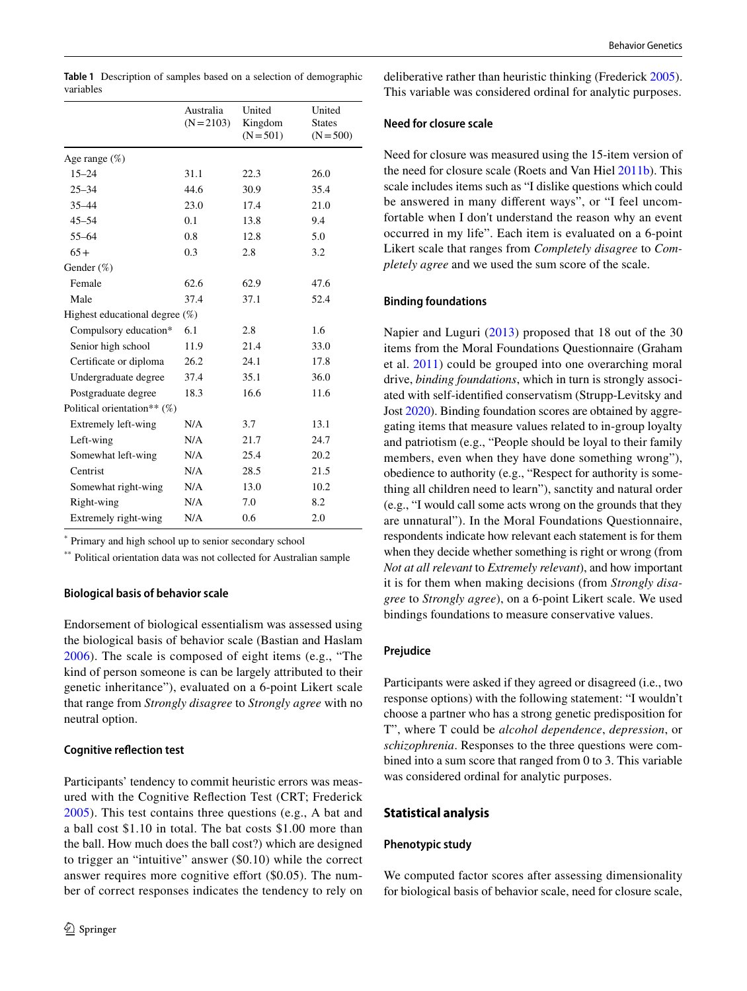<span id="page-3-0"></span>

|           | Table 1 Description of samples based on a selection of demographic |
|-----------|--------------------------------------------------------------------|
| variables |                                                                    |

|                                   | Australia<br>$(N = 2103)$ | United<br>Kingdom<br>$(N = 501)$ | United<br><b>States</b><br>$(N = 500)$ |
|-----------------------------------|---------------------------|----------------------------------|----------------------------------------|
| Age range $(\%)$                  |                           |                                  |                                        |
| $15 - 24$                         | 31.1                      | 22.3                             | 26.0                                   |
| $25 - 34$                         | 44.6                      | 30.9                             | 35.4                                   |
| $35 - 44$                         | 23.0                      | 17.4                             | 21.0                                   |
| $45 - 54$                         | 0.1                       | 13.8                             | 9.4                                    |
| $55 - 64$                         | 0.8                       | 12.8                             | 5.0                                    |
| $65+$                             | 0.3                       | 2.8                              | 3.2                                    |
| Gender (%)                        |                           |                                  |                                        |
| Female                            | 62.6                      | 62.9                             | 47.6                                   |
| Male                              | 37.4                      | 37.1                             | 52.4                                   |
| Highest educational degree $(\%)$ |                           |                                  |                                        |
| Compulsory education*             | 6.1                       | 2.8                              | 1.6                                    |
| Senior high school                | 11.9                      | 21.4                             | 33.0                                   |
| Certificate or diploma            | 26.2                      | 24.1                             | 17.8                                   |
| Undergraduate degree              | 37.4                      | 35.1                             | 36.0                                   |
| Postgraduate degree               | 18.3                      | 16.6                             | 11.6                                   |
| Political orientation** $(\%)$    |                           |                                  |                                        |
| Extremely left-wing               | N/A                       | 3.7                              | 13.1                                   |
| Left-wing                         | N/A                       | 21.7                             | 24.7                                   |
| Somewhat left-wing                | N/A                       | 25.4                             | 20.2                                   |
| Centrist                          | N/A                       | 28.5                             | 21.5                                   |
| Somewhat right-wing               | N/A                       | 13.0                             | 10.2                                   |
| Right-wing                        | N/A                       | 7.0                              | 8.2                                    |
| Extremely right-wing              | N/A                       | 0.6                              | 2.0                                    |

\* Primary and high school up to senior secondary school

\*\* Political orientation data was not collected for Australian sample

### **Biological basis of behavior scale**

Endorsement of biological essentialism was assessed using the biological basis of behavior scale (Bastian and Haslam [2006\)](#page-11-6). The scale is composed of eight items (e.g., "The kind of person someone is can be largely attributed to their genetic inheritance"), evaluated on a 6-point Likert scale that range from *Strongly disagree* to *Strongly agree* with no neutral option.

#### **Cognitive reflection test**

Participants' tendency to commit heuristic errors was measured with the Cognitive Reflection Test (CRT; Frederick [2005\)](#page-11-18). This test contains three questions (e.g., A bat and a ball cost \$1.10 in total. The bat costs \$1.00 more than the ball. How much does the ball cost?) which are designed to trigger an "intuitive" answer (\$0.10) while the correct answer requires more cognitive effort (\$0.05). The number of correct responses indicates the tendency to rely on deliberative rather than heuristic thinking (Frederick [2005](#page-11-18)). This variable was considered ordinal for analytic purposes.

# **Need for closure scale**

Need for closure was measured using the 15-item version of the need for closure scale (Roets and Van Hiel [2011b](#page-12-17)). This scale includes items such as "I dislike questions which could be answered in many different ways", or "I feel uncomfortable when I don't understand the reason why an event occurred in my life". Each item is evaluated on a 6-point Likert scale that ranges from *Completely disagree* to *Completely agree* and we used the sum score of the scale.

#### **Binding foundations**

Napier and Luguri ([2013\)](#page-12-18) proposed that 18 out of the 30 items from the Moral Foundations Questionnaire (Graham et al. [2011](#page-11-19)) could be grouped into one overarching moral drive, *binding foundations*, which in turn is strongly associated with self-identified conservatism (Strupp-Levitsky and Jost [2020](#page-12-19)). Binding foundation scores are obtained by aggregating items that measure values related to in-group loyalty and patriotism (e.g., "People should be loyal to their family members, even when they have done something wrong"), obedience to authority (e.g., "Respect for authority is something all children need to learn"), sanctity and natural order (e.g., "I would call some acts wrong on the grounds that they are unnatural"). In the Moral Foundations Questionnaire, respondents indicate how relevant each statement is for them when they decide whether something is right or wrong (from *Not at all relevant* to *Extremely relevant*), and how important it is for them when making decisions (from *Strongly disagree* to *Strongly agree*), on a 6-point Likert scale. We used bindings foundations to measure conservative values.

# **Prejudice**

Participants were asked if they agreed or disagreed (i.e., two response options) with the following statement: "I wouldn't choose a partner who has a strong genetic predisposition for T", where T could be *alcohol dependence*, *depression*, or *schizophrenia*. Responses to the three questions were combined into a sum score that ranged from 0 to 3. This variable was considered ordinal for analytic purposes.

### **Statistical analysis**

#### **Phenotypic study**

We computed factor scores after assessing dimensionality for biological basis of behavior scale, need for closure scale,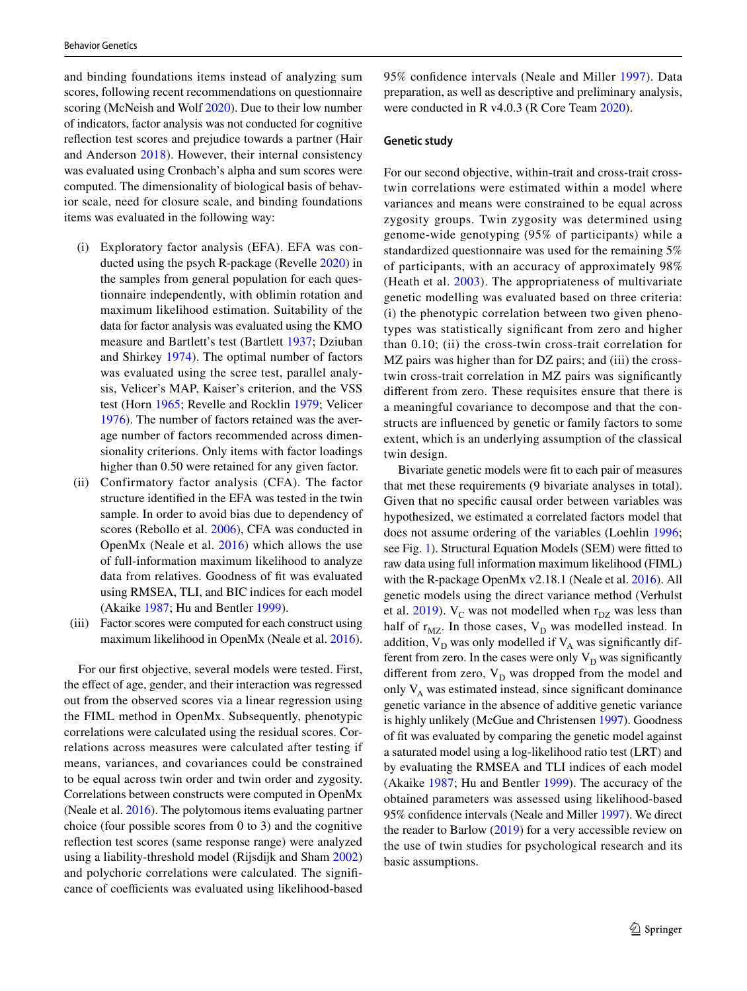and binding foundations items instead of analyzing sum scores, following recent recommendations on questionnaire scoring (McNeish and Wolf [2020\)](#page-12-20). Due to their low number of indicators, factor analysis was not conducted for cognitive reflection test scores and prejudice towards a partner (Hair and Anderson [2018\)](#page-11-20). However, their internal consistency was evaluated using Cronbach's alpha and sum scores were computed. The dimensionality of biological basis of behavior scale, need for closure scale, and binding foundations items was evaluated in the following way:

- (i) Exploratory factor analysis (EFA). EFA was conducted using the psych R-package (Revelle [2020](#page-12-21)) in the samples from general population for each questionnaire independently, with oblimin rotation and maximum likelihood estimation. Suitability of the data for factor analysis was evaluated using the KMO measure and Bartlett's test (Bartlett [1937](#page-11-21); Dziuban and Shirkey [1974](#page-11-22)). The optimal number of factors was evaluated using the scree test, parallel analysis, Velicer's MAP, Kaiser's criterion, and the VSS test (Horn [1965](#page-11-23); Revelle and Rocklin [1979;](#page-12-22) Velicer [1976](#page-12-23)). The number of factors retained was the average number of factors recommended across dimensionality criterions. Only items with factor loadings higher than  $0.50$  were retained for any given factor.
- (ii) Confirmatory factor analysis (CFA). The factor structure identified in the EFA was tested in the twin sample. In order to avoid bias due to dependency of scores (Rebollo et al. [2006\)](#page-12-24), CFA was conducted in OpenMx (Neale et al. [2016\)](#page-12-25) which allows the use of full-information maximum likelihood to analyze data from relatives. Goodness of fit was evaluated using RMSEA, TLI, and BIC indices for each model (Akaike [1987](#page-11-24); Hu and Bentler [1999\)](#page-11-25).
- (iii) Factor scores were computed for each construct using maximum likelihood in OpenMx (Neale et al. [2016](#page-12-25)).

For our first objective, several models were tested. First, the effect of age, gender, and their interaction was regressed out from the observed scores via a linear regression using the FIML method in OpenMx. Subsequently, phenotypic correlations were calculated using the residual scores. Correlations across measures were calculated after testing if means, variances, and covariances could be constrained to be equal across twin order and twin order and zygosity. Correlations between constructs were computed in OpenMx (Neale et al. [2016](#page-12-25)). The polytomous items evaluating partner choice (four possible scores from 0 to 3) and the cognitive reflection test scores (same response range) were analyzed using a liability-threshold model (Rijsdijk and Sham [2002\)](#page-12-26) and polychoric correlations were calculated. The significance of coefficients was evaluated using likelihood-based 95% confidence intervals (Neale and Miller [1997](#page-12-27)). Data preparation, as well as descriptive and preliminary analysis, were conducted in R v4.0.3 (R Core Team [2020\)](#page-12-28).

#### **Genetic study**

For our second objective, within-trait and cross-trait crosstwin correlations were estimated within a model where variances and means were constrained to be equal across zygosity groups. Twin zygosity was determined using genome-wide genotyping (95% of participants) while a standardized questionnaire was used for the remaining 5% of participants, with an accuracy of approximately 98% (Heath et al. [2003](#page-11-26)). The appropriateness of multivariate genetic modelling was evaluated based on three criteria: (i) the phenotypic correlation between two given phenotypes was statistically significant from zero and higher than 0.10; (ii) the cross-twin cross-trait correlation for MZ pairs was higher than for DZ pairs; and (iii) the crosstwin cross-trait correlation in MZ pairs was significantly different from zero. These requisites ensure that there is a meaningful covariance to decompose and that the constructs are influenced by genetic or family factors to some extent, which is an underlying assumption of the classical twin design.

Bivariate genetic models were fit to each pair of measures that met these requirements (9 bivariate analyses in total). Given that no specific causal order between variables was hypothesized, we estimated a correlated factors model that does not assume ordering of the variables (Loehlin [1996](#page-12-29); see Fig. [1\)](#page-5-0). Structural Equation Models (SEM) were fitted to raw data using full information maximum likelihood (FIML) with the R-package OpenMx v2.18.1 (Neale et al. [2016\)](#page-12-25). All genetic models using the direct variance method (Verhulst et al.  $2019$ ).  $V_C$  was not modelled when  $r_{DZ}$  was less than half of  $r_{MZ}$ . In those cases,  $V_D$  was modelled instead. In addition,  $V_D$  was only modelled if  $V_A$  was significantly different from zero. In the cases were only  $V_D$  was significantly different from zero,  $V_D$  was dropped from the model and only  $V_A$  was estimated instead, since significant dominance genetic variance in the absence of additive genetic variance is highly unlikely (McGue and Christensen [1997](#page-12-31)). Goodness of fit was evaluated by comparing the genetic model against a saturated model using a log-likelihood ratio test (LRT) and by evaluating the RMSEA and TLI indices of each model (Akaike [1987](#page-11-24); Hu and Bentler [1999\)](#page-11-25). The accuracy of the obtained parameters was assessed using likelihood-based 95% confidence intervals (Neale and Miller [1997](#page-12-27)). We direct the reader to Barlow [\(2019](#page-11-27)) for a very accessible review on the use of twin studies for psychological research and its basic assumptions.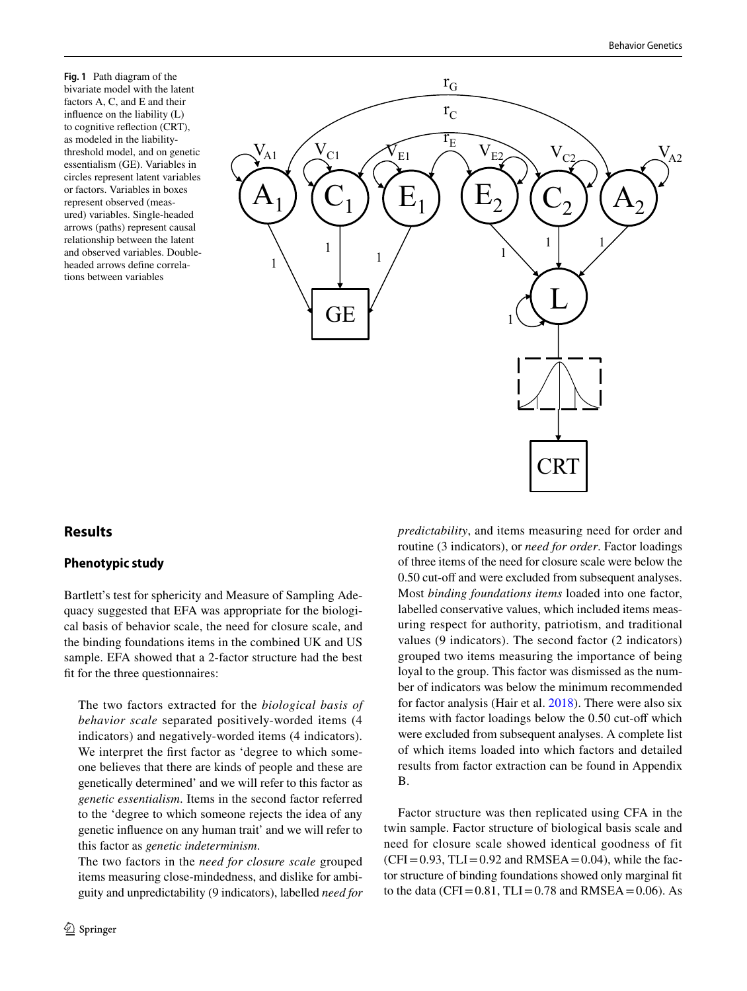<span id="page-5-0"></span>**Fig. 1** Path diagram of the bivariate model with the latent factors A, C, and E and their influence on the liability (L) to cognitive reflection (CRT), as modeled in the liabilitythreshold model, and on genetic essentialism (GE). Variables in circles represent latent variables or factors. Variables in boxes represent observed (measured) variables. Single-headed arrows (paths) represent causal relationship between the latent and observed variables. Doubleheaded arrows define correlations between variables



# **Results**

# **Phenotypic study**

Bartlett's test for sphericity and Measure of Sampling Adequacy suggested that EFA was appropriate for the biological basis of behavior scale, the need for closure scale, and the binding foundations items in the combined UK and US sample. EFA showed that a 2-factor structure had the best fit for the three questionnaires:

The two factors extracted for the *biological basis of behavior scale* separated positively-worded items (4 indicators) and negatively-worded items (4 indicators). We interpret the first factor as 'degree to which someone believes that there are kinds of people and these are genetically determined' and we will refer to this factor as *genetic essentialism*. Items in the second factor referred to the 'degree to which someone rejects the idea of any genetic influence on any human trait' and we will refer to this factor as *genetic indeterminism*.

The two factors in the *need for closure scale* grouped items measuring close-mindedness, and dislike for ambiguity and unpredictability (9 indicators), labelled *need for*  *predictability*, and items measuring need for order and routine (3 indicators), or *need for order*. Factor loadings of three items of the need for closure scale were below the 0.50 cut-off and were excluded from subsequent analyses. Most *binding foundations items* loaded into one factor, labelled conservative values, which included items measuring respect for authority, patriotism, and traditional values (9 indicators). The second factor (2 indicators) grouped two items measuring the importance of being loyal to the group. This factor was dismissed as the number of indicators was below the minimum recommended for factor analysis (Hair et al. [2018\)](#page-11-20). There were also six items with factor loadings below the 0.50 cut-off which were excluded from subsequent analyses. A complete list of which items loaded into which factors and detailed results from factor extraction can be found in Appendix B.

Factor structure was then replicated using CFA in the twin sample. Factor structure of biological basis scale and need for closure scale showed identical goodness of fit  $(CFI = 0.93, TLI = 0.92$  and RMSEA = 0.04), while the factor structure of binding foundations showed only marginal fit to the data (CFI =  $0.81$ , TLI =  $0.78$  and RMSEA =  $0.06$ ). As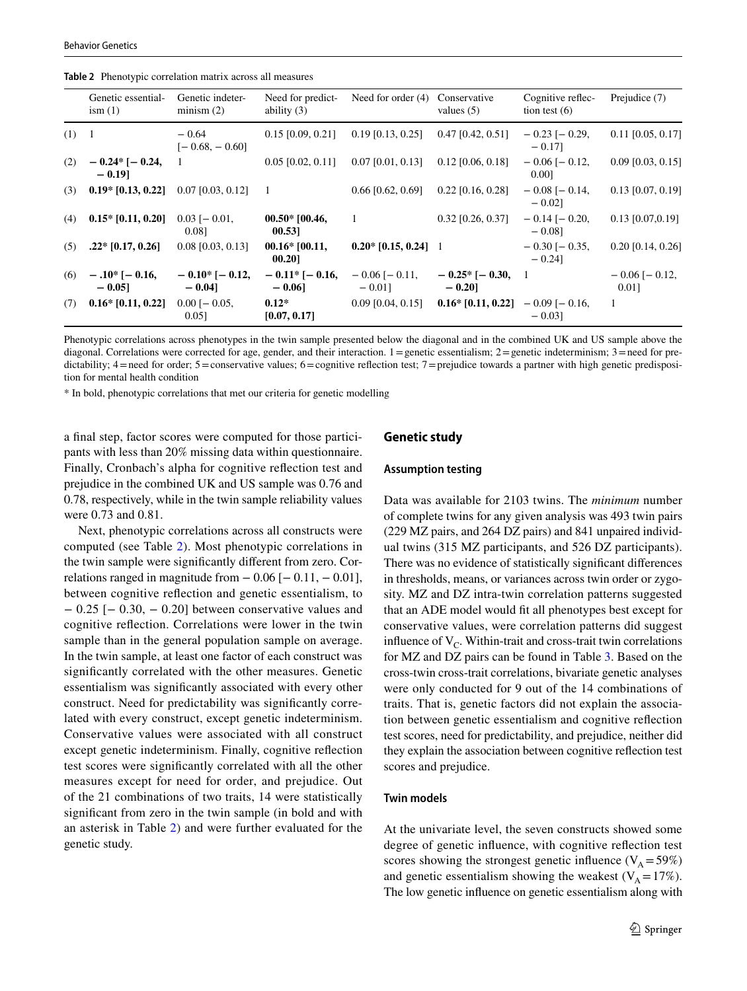<span id="page-6-0"></span>

|  | Table 2 Phenotypic correlation matrix across all measures |  |  |  |  |  |
|--|-----------------------------------------------------------|--|--|--|--|--|
|--|-----------------------------------------------------------|--|--|--|--|--|

|       | Genetic essential-<br>ism(1)      | Genetic indeter-<br>minism $(2)$ | Need for predict-<br>ability $(3)$ | Need for order (4)               | Conservative<br>values $(5)$           | Cognitive reflec-<br>tion test $(6)$ | Prejudice (7)                |
|-------|-----------------------------------|----------------------------------|------------------------------------|----------------------------------|----------------------------------------|--------------------------------------|------------------------------|
| (1) 1 |                                   | $-0.64$<br>$[-0.68, -0.60]$      | $0.15$ [0.09, 0.21]                | $0.19$ [0.13, 0.25]              | $0.47$ [0.42, 0.51]                    | $-0.23$ [ $-0.29$ ,<br>$-0.17$ ]     | $0.11$ [0.05, 0.17]          |
| (2)   | $-0.24$ * [ $-0.24$ ,<br>$-0.191$ | $\overline{1}$                   | $0.05$ [0.02, 0.11]                | $0.07$ [0.01, 0.13]              | $0.12$ [0.06, 0.18]                    | $-0.06$ [ $-0.12$ ]<br>0.001         | $0.09$ [0.03, 0.15]          |
| (3)   | $0.19*$ [0.13, 0.22]              | $0.07$ [0.03, 0.12]              | - 1                                | $0.66$ [0.62, 0.69]              | $0.22$ [0.16, 0.28]                    | $-0.08$ [ $-0.14$ ,<br>$-0.021$      | $0.13$ [0.07, 0.19]          |
| (4)   | $0.15*$ [0.11, 0.20]              | $0.03$ [- 0.01,<br>0.081         | $00.50*$ [00.46,<br>00.531         | -1                               | $0.32$ [0.26, 0.37]                    | $-0.14$ [ $-0.20$ ,<br>$-0.08$ ]     | $0.13$ [0.07,0.19]           |
| (5)   | $.22*$ [0.17, 0.26]               | $0.08$ [0.03, 0.13]              | $00.16*$ [00.11,<br>00.201         | $0.20*$ [0.15, 0.24] 1           |                                        | $-0.30$ [ $-0.35$ ,<br>$-0.24$ ]     | $0.20$ [0.14, 0.26]          |
| (6)   | $-.10*[-0.16,$<br>$-0.05$ ]       | $-0.10*[-0.12,$<br>$-0.04$ ]     | $-0.11*$ [-0.16,<br>$-0.06$ ]      | $-0.06$ [ $-0.11$ ,<br>$-0.01$ ] | $-0.25 \times [-0.30, 1]$<br>$-0.20$ ] |                                      | $-0.06$ [ $-0.12$ ]<br>0.011 |
| (7)   | $0.16*$ [0.11, 0.22]              | $0.00$ [ $-0.05$ ,<br>0.051      | $0.12*$<br>[0.07, 0.17]            | $0.09$ [0.04, 0.15]              | $0.16*$ [0.11, 0.22] $-0.09$ [-0.16,   | $-0.031$                             | -1                           |

Phenotypic correlations across phenotypes in the twin sample presented below the diagonal and in the combined UK and US sample above the diagonal. Correlations were corrected for age, gender, and their interaction. 1 = genetic essentialism; 2 = genetic indeterminism; 3 = need for predictability;  $4 =$  need for order;  $5 =$  conservative values;  $6 =$  cognitive reflection test;  $7 =$  prejudice towards a partner with high genetic predisposition for mental health condition

\* In bold, phenotypic correlations that met our criteria for genetic modelling

a final step, factor scores were computed for those participants with less than 20% missing data within questionnaire. Finally, Cronbach's alpha for cognitive reflection test and prejudice in the combined UK and US sample was 0.76 and 0.78, respectively, while in the twin sample reliability values were 0.73 and 0.81.

Next, phenotypic correlations across all constructs were computed (see Table [2](#page-6-0)). Most phenotypic correlations in the twin sample were significantly different from zero. Correlations ranged in magnitude from  $-0.06$  [ $-0.11$ ,  $-0.01$ ], between cognitive reflection and genetic essentialism, to − 0.25 [− 0.30, − 0.20] between conservative values and cognitive reflection. Correlations were lower in the twin sample than in the general population sample on average. In the twin sample, at least one factor of each construct was significantly correlated with the other measures. Genetic essentialism was significantly associated with every other construct. Need for predictability was significantly correlated with every construct, except genetic indeterminism. Conservative values were associated with all construct except genetic indeterminism. Finally, cognitive reflection test scores were significantly correlated with all the other measures except for need for order, and prejudice. Out of the 21 combinations of two traits, 14 were statistically significant from zero in the twin sample (in bold and with an asterisk in Table [2\)](#page-6-0) and were further evaluated for the genetic study.

#### **Genetic study**

#### **Assumption testing**

Data was available for 2103 twins. The *minimum* number of complete twins for any given analysis was 493 twin pairs (229 MZ pairs, and 264 DZ pairs) and 841 unpaired individual twins (315 MZ participants, and 526 DZ participants). There was no evidence of statistically significant differences in thresholds, means, or variances across twin order or zygosity. MZ and DZ intra-twin correlation patterns suggested that an ADE model would fit all phenotypes best except for conservative values, were correlation patterns did suggest influence of  $V_C$ . Within-trait and cross-trait twin correlations for MZ and DZ pairs can be found in Table [3](#page-7-0). Based on the cross-twin cross-trait correlations, bivariate genetic analyses were only conducted for 9 out of the 14 combinations of traits. That is, genetic factors did not explain the association between genetic essentialism and cognitive reflection test scores, need for predictability, and prejudice, neither did they explain the association between cognitive reflection test scores and prejudice.

#### **Twin models**

At the univariate level, the seven constructs showed some degree of genetic influence, with cognitive reflection test scores showing the strongest genetic influence ( $V_A = 59\%$ ) and genetic essentialism showing the weakest ( $V_A = 17\%$ ). The low genetic influence on genetic essentialism along with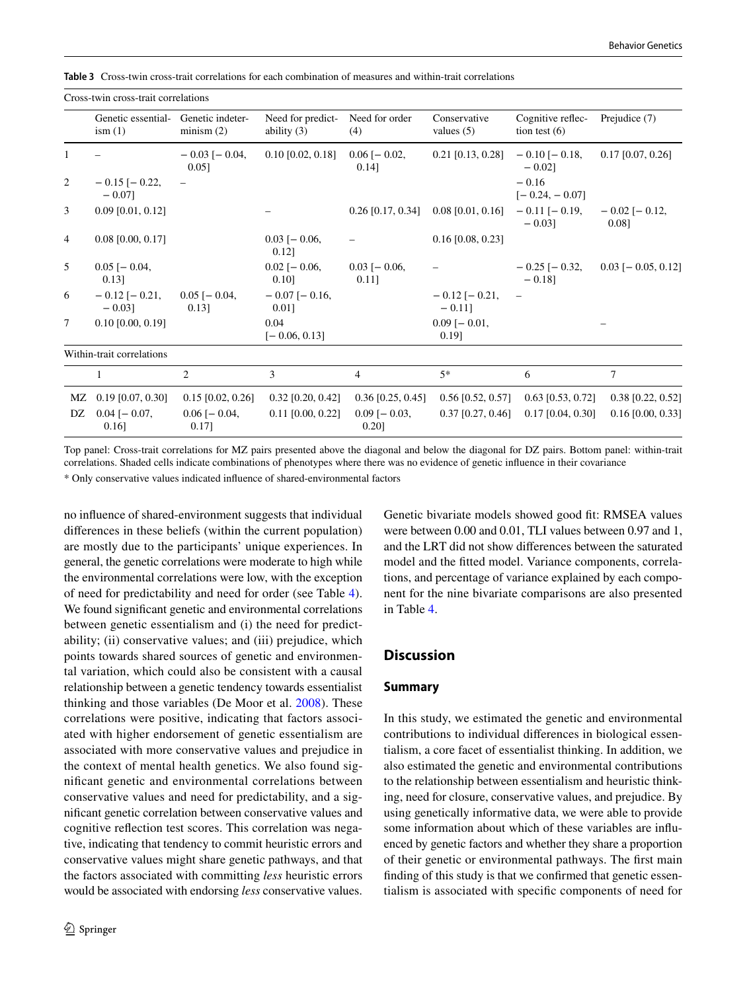<span id="page-7-0"></span>**Table 3** Cross-twin cross-trait correlations for each combination of measures and within-trait correlations

Cross-twin cross-trait correlations

|                | Genetic essential-<br>ism(1)     | Genetic indeter-<br>minism $(2)$ | Need for predict-<br>ability $(3)$ | Need for order<br>(4)          | Conservative<br>values $(5)$                          | Cognitive reflec-<br>tion test $(6)$ | Prejudice (7)                |
|----------------|----------------------------------|----------------------------------|------------------------------------|--------------------------------|-------------------------------------------------------|--------------------------------------|------------------------------|
| 1              |                                  | $-0.03$ [ $-0.04$ ,<br>0.051     | $0.10$ [0.02, 0.18]                | $0.06$ [ $-0.02$ ,<br>0.14]    | $0.21$ [0.13, 0.28]                                   | $-0.10$ [ $-0.18$ ,<br>$-0.02$ ]     | $0.17$ [0.07, 0.26]          |
| 2              | $-0.15$ [ $-0.22$ ,<br>$-0.07$ ] |                                  |                                    |                                |                                                       | $-0.16$<br>$[-0.24, -0.07]$          |                              |
| 3              | $0.09$ [0.01, 0.12]              |                                  |                                    |                                | $0.26$ [0.17, 0.34] 0.08 [0.01, 0.16] $-0.11$ [-0.19, | $-0.03$ ]                            | $-0.02$ [ $-0.12$ ,<br>0.081 |
| $\overline{4}$ | $0.08$ [0.00, 0.17]              |                                  | $0.03$ [- 0.06,<br>$0.12$ ]        |                                | $0.16$ [0.08, 0.23]                                   |                                      |                              |
| 5              | $0.05$ [ $-0.04$ ,<br>$0.13$ ]   |                                  | $0.02$ [- 0.06,<br>$0.10$ ]        | $0.03$ [ $-0.06$ ,<br>$0.11$ ] |                                                       | $-0.25$ [ $-0.32$ ,<br>$-0.18$ ]     | $0.03$ [- 0.05, 0.12]        |
| 6              | $-0.12$ [ $-0.21$ ,<br>$-0.03$ ] | $0.05$ [ $-0.04$ ,<br>0.13       | $-0.07$ [ $-0.16$ ,<br>0.01]       |                                | $-0.12$ [ $-0.21$ ,<br>$-0.11$ ]                      |                                      |                              |
| 7              | $0.10$ [0.00, 0.19]              |                                  | 0.04<br>$[-0.06, 0.13]$            |                                | $0.09$ [- 0.01,<br>$0.19$ ]                           |                                      |                              |
|                | Within-trait correlations        |                                  |                                    |                                |                                                       |                                      |                              |
|                |                                  | $\mathfrak{D}$                   | 3                                  | $\overline{4}$                 | $5*$                                                  | 6                                    | $\tau$                       |
| MZ             | $0.19$ [0.07, 0.30]              | $0.15$ [0.02, 0.26]              | $0.32$ [0.20, 0.42]                | $0.36$ [0.25, 0.45]            | $0.56$ [0.52, 0.57]                                   | $0.63$ [0.53, 0.72]                  | $0.38$ [0.22, 0.52]          |
| DZ             | $0.04$ [ $-0.07$ ,<br>$0.16$ ]   | $0.06$ [ $-0.04$ ]<br>$0.17$ ]   | $0.11$ [0.00, 0.22]                | $0.09$ [- 0.03,<br>0.201       | $0.37$ [0.27, 0.46]                                   | $0.17$ [0.04, 0.30]                  | $0.16$ [0.00, 0.33]          |

Top panel: Cross-trait correlations for MZ pairs presented above the diagonal and below the diagonal for DZ pairs. Bottom panel: within-trait correlations. Shaded cells indicate combinations of phenotypes where there was no evidence of genetic influence in their covariance

\* Only conservative values indicated influence of shared-environmental factors

no influence of shared-environment suggests that individual differences in these beliefs (within the current population) are mostly due to the participants' unique experiences. In general, the genetic correlations were moderate to high while the environmental correlations were low, with the exception of need for predictability and need for order (see Table [4](#page-8-0)). We found significant genetic and environmental correlations between genetic essentialism and (i) the need for predictability; (ii) conservative values; and (iii) prejudice, which points towards shared sources of genetic and environmental variation, which could also be consistent with a causal relationship between a genetic tendency towards essentialist thinking and those variables (De Moor et al. [2008](#page-11-28)). These correlations were positive, indicating that factors associated with higher endorsement of genetic essentialism are associated with more conservative values and prejudice in the context of mental health genetics. We also found significant genetic and environmental correlations between conservative values and need for predictability, and a significant genetic correlation between conservative values and cognitive reflection test scores. This correlation was negative, indicating that tendency to commit heuristic errors and conservative values might share genetic pathways, and that the factors associated with committing *less* heuristic errors would be associated with endorsing *less* conservative values.

Genetic bivariate models showed good fit: RMSEA values were between 0.00 and 0.01, TLI values between 0.97 and 1, and the LRT did not show differences between the saturated model and the fitted model. Variance components, correlations, and percentage of variance explained by each component for the nine bivariate comparisons are also presented in Table [4.](#page-8-0)

# **Discussion**

# **Summary**

In this study, we estimated the genetic and environmental contributions to individual differences in biological essentialism, a core facet of essentialist thinking. In addition, we also estimated the genetic and environmental contributions to the relationship between essentialism and heuristic thinking, need for closure, conservative values, and prejudice. By using genetically informative data, we were able to provide some information about which of these variables are influenced by genetic factors and whether they share a proportion of their genetic or environmental pathways. The first main finding of this study is that we confirmed that genetic essentialism is associated with specific components of need for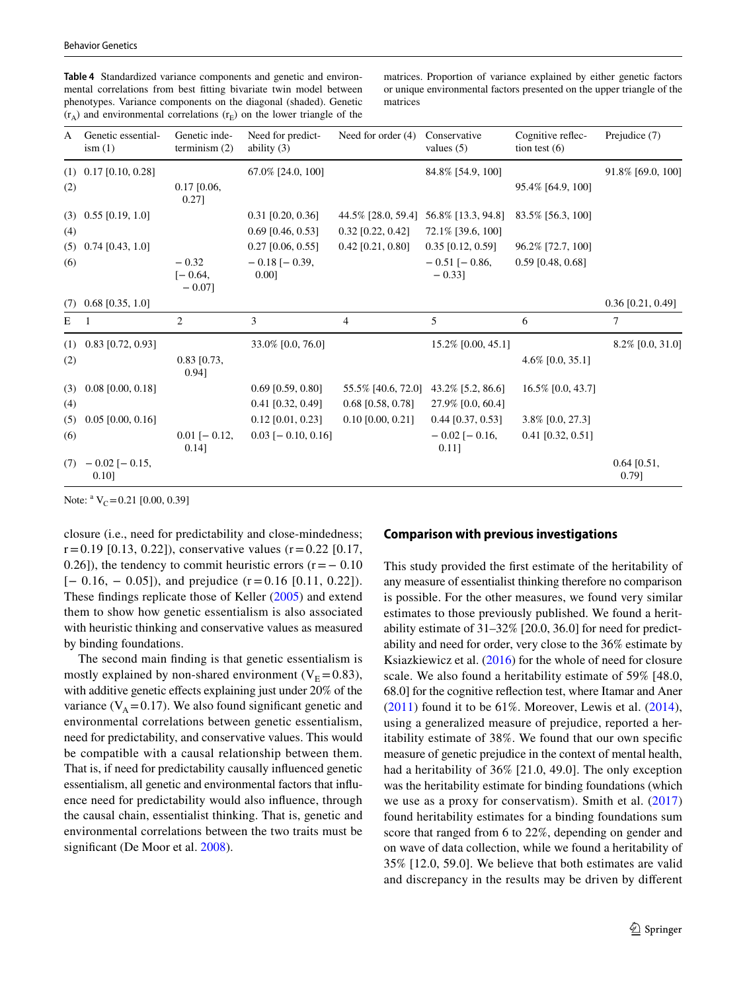<span id="page-8-0"></span>**Table 4** Standardized variance components and genetic and environmental correlations from best fitting bivariate twin model between phenotypes. Variance components on the diagonal (shaded). Genetic  $(r_A)$  and environmental correlations  $(r_E)$  on the lower triangle of the matrices. Proportion of variance explained by either genetic factors or unique environmental factors presented on the upper triangle of the matrices

| A   | Genetic essential-<br>ism(1) | Genetic inde-<br>terminism $(2)$  | Need for predict-<br>ability $(3)$ | Need for order $(4)$ | Conservative<br>values $(5)$     | Cognitive reflec-<br>tion test $(6)$ | Prejudice (7)          |
|-----|------------------------------|-----------------------------------|------------------------------------|----------------------|----------------------------------|--------------------------------------|------------------------|
|     | $(1)$ 0.17 [0.10, 0.28]      |                                   | 67.0% [24.0, 100]                  |                      | 84.8% [54.9, 100]                |                                      | 91.8% [69.0, 100]      |
| (2) |                              | $0.17$ [0.06,<br>0.271            |                                    |                      |                                  | 95.4% [64.9, 100]                    |                        |
| (3) | $0.55$ [0.19, 1.0]           |                                   | $0.31$ [0.20, 0.36]                | 44.5% [28.0, 59.4]   | 56.8% [13.3, 94.8]               | 83.5% [56.3, 100]                    |                        |
| (4) |                              |                                   | $0.69$ [0.46, 0.53]                | $0.32$ [0.22, 0.42]  | 72.1% [39.6, 100]                |                                      |                        |
| (5) | $0.74$ [0.43, 1.0]           |                                   | $0.27$ [0.06, 0.55]                | $0.42$ [0.21, 0.80]  | $0.35$ [0.12, 0.59]              | 96.2% [72.7, 100]                    |                        |
| (6) |                              | $-0.32$<br>$[-0.64,$<br>$-0.07$ ] | $-0.18$ [ $-0.39$ ,<br>0.001       |                      | $-0.51$ [ $-0.86$ ,<br>$-0.33$ ] | $0.59$ [0.48, 0.68]                  |                        |
| (7) | $0.68$ [0.35, 1.0]           |                                   |                                    |                      |                                  |                                      | $0.36$ [0.21, 0.49]    |
| Ε   |                              | 2                                 | 3                                  | $\overline{4}$       | 5                                | 6                                    | 7                      |
| (1) | $0.83$ [0.72, 0.93]          |                                   | 33.0% [0.0, 76.0]                  |                      | 15.2% [0.00, 45.1]               |                                      | 8.2% [0.0, 31.0]       |
| (2) |                              | $0.83$ [0.73,<br>0.941            |                                    |                      |                                  | $4.6\%$ [0.0, 35.1]                  |                        |
| (3) | $0.08$ [0.00, 0.18]          |                                   | $0.69$ [0.59, 0.80]                | 55.5% [40.6, 72.0]   | 43.2% [5.2, 86.6]                | 16.5% [0.0, 43.7]                    |                        |
| (4) |                              |                                   | $0.41$ [0.32, 0.49]                | $0.68$ [0.58, 0.78]  | 27.9% [0.0, 60.4]                |                                      |                        |
| (5) | $0.05$ [0.00, 0.16]          |                                   | $0.12$ [0.01, 0.23]                | $0.10$ [0.00, 0.21]  | $0.44$ [0.37, 0.53]              | $3.8\%$ [0.0, 27.3]                  |                        |
| (6) |                              | $0.01$ [ $-0.12$ ,<br>$0.14$ ]    | $0.03$ [- 0.10, 0.16]              |                      | $-0.02$ [ $-0.16$ ,<br>$0.11$ ]  | $0.41$ [0.32, 0.51]                  |                        |
| (7) | $-0.02$ [ $-0.15$ ,<br>0.10] |                                   |                                    |                      |                                  |                                      | $0.64$ [0.51,<br>0.79] |

Note:  $V_c = 0.21$  [0.00, 0.39]

closure (i.e., need for predictability and close-mindedness;  $r = 0.19$  [0.13, 0.22]), conservative values ( $r = 0.22$  [0.17, 0.26]), the tendency to commit heuristic errors  $(r = -0.10)$  $[-0.16, -0.05]$ , and prejudice  $(r=0.16 \; [0.11, 0.22])$ . These findings replicate those of Keller [\(2005\)](#page-11-13) and extend them to show how genetic essentialism is also associated with heuristic thinking and conservative values as measured by binding foundations.

The second main finding is that genetic essentialism is mostly explained by non-shared environment ( $V_E = 0.83$ ), with additive genetic effects explaining just under 20% of the variance  $(V_A = 0.17)$ . We also found significant genetic and environmental correlations between genetic essentialism, need for predictability, and conservative values. This would be compatible with a causal relationship between them. That is, if need for predictability causally influenced genetic essentialism, all genetic and environmental factors that influence need for predictability would also influence, through the causal chain, essentialist thinking. That is, genetic and environmental correlations between the two traits must be significant (De Moor et al. [2008](#page-11-28)).

#### **Comparison with previous investigations**

This study provided the first estimate of the heritability of any measure of essentialist thinking therefore no comparison is possible. For the other measures, we found very similar estimates to those previously published. We found a heritability estimate of 31–32% [20.0, 36.0] for need for predictability and need for order, very close to the 36% estimate by Ksiazkiewicz et al. ([2016](#page-11-16)) for the whole of need for closure scale. We also found a heritability estimate of 59% [48.0, 68.0] for the cognitive reflection test, where Itamar and Aner  $(2011)$  $(2011)$  $(2011)$  found it to be 61%. Moreover, Lewis et al.  $(2014)$  $(2014)$  $(2014)$ , using a generalized measure of prejudice, reported a heritability estimate of 38%. We found that our own specific measure of genetic prejudice in the context of mental health, had a heritability of 36% [21.0, 49.0]. The only exception was the heritability estimate for binding foundations (which we use as a proxy for conservatism). Smith et al. [\(2017\)](#page-12-12) found heritability estimates for a binding foundations sum score that ranged from 6 to 22%, depending on gender and on wave of data collection, while we found a heritability of 35% [12.0, 59.0]. We believe that both estimates are valid and discrepancy in the results may be driven by different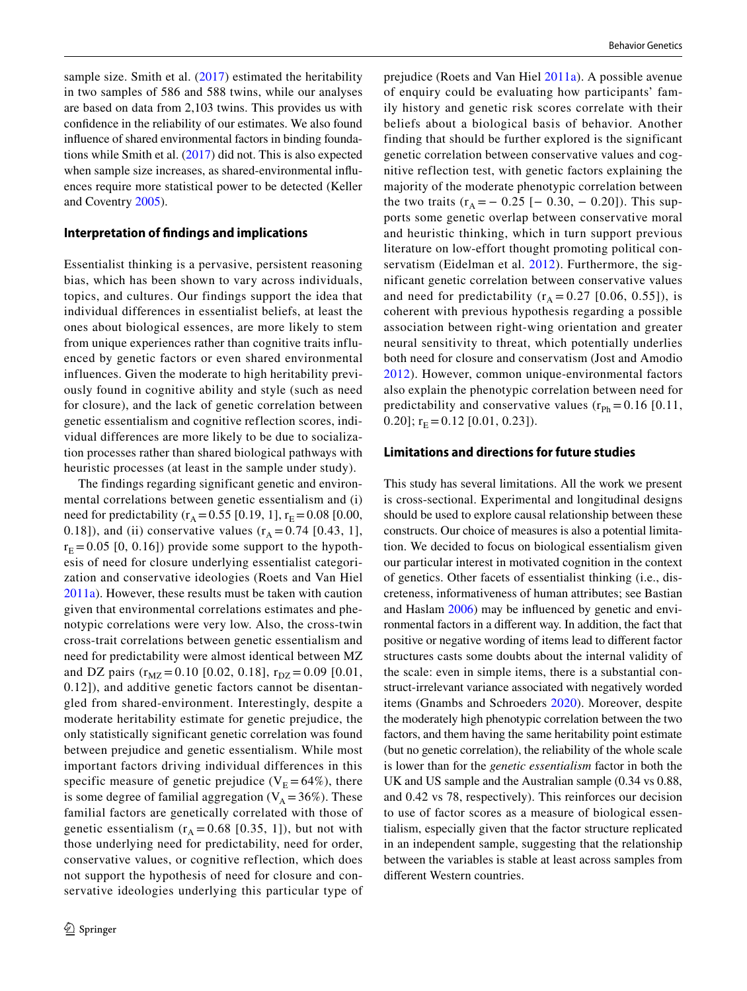sample size. Smith et al.  $(2017)$  $(2017)$  $(2017)$  estimated the heritability in two samples of 586 and 588 twins, while our analyses are based on data from 2,103 twins. This provides us with confidence in the reliability of our estimates. We also found influence of shared environmental factors in binding foundations while Smith et al. [\(2017](#page-12-12)) did not. This is also expected when sample size increases, as shared-environmental influences require more statistical power to be detected (Keller and Coventry [2005](#page-11-30)).

#### **Interpretation of findings and implications**

Essentialist thinking is a pervasive, persistent reasoning bias, which has been shown to vary across individuals, topics, and cultures. Our findings support the idea that individual differences in essentialist beliefs, at least the ones about biological essences, are more likely to stem from unique experiences rather than cognitive traits influenced by genetic factors or even shared environmental influences. Given the moderate to high heritability previously found in cognitive ability and style (such as need for closure), and the lack of genetic correlation between genetic essentialism and cognitive reflection scores, individual differences are more likely to be due to socialization processes rather than shared biological pathways with heuristic processes (at least in the sample under study).

The findings regarding significant genetic and environmental correlations between genetic essentialism and (i) need for predictability ( $r_A = 0.55$  [0.19, 1],  $r_E = 0.08$  [0.00, 0.18]), and (ii) conservative values  $(r_A = 0.74 \, [0.43, 1],$  $r_E = 0.05$  [0, 0.16]) provide some support to the hypothesis of need for closure underlying essentialist categorization and conservative ideologies (Roets and Van Hiel [2011a](#page-12-6)). However, these results must be taken with caution given that environmental correlations estimates and phenotypic correlations were very low. Also, the cross-twin cross-trait correlations between genetic essentialism and need for predictability were almost identical between MZ and DZ pairs ( $r_{MZ}$  = 0.10 [0.02, 0.18],  $r_{DZ}$  = 0.09 [0.01, 0.12]), and additive genetic factors cannot be disentangled from shared-environment. Interestingly, despite a moderate heritability estimate for genetic prejudice, the only statistically significant genetic correlation was found between prejudice and genetic essentialism. While most important factors driving individual differences in this specific measure of genetic prejudice ( $V_E = 64\%$ ), there is some degree of familial aggregation ( $V_A = 36\%$ ). These familial factors are genetically correlated with those of genetic essentialism  $(r_A = 0.68 \, [0.35, 1])$ , but not with those underlying need for predictability, need for order, conservative values, or cognitive reflection, which does not support the hypothesis of need for closure and conservative ideologies underlying this particular type of

prejudice (Roets and Van Hiel [2011a\)](#page-12-6). A possible avenue of enquiry could be evaluating how participants' family history and genetic risk scores correlate with their beliefs about a biological basis of behavior. Another finding that should be further explored is the significant genetic correlation between conservative values and cognitive reflection test, with genetic factors explaining the majority of the moderate phenotypic correlation between the two traits  $(r_A = -0.25 [-0.30, -0.20])$ . This supports some genetic overlap between conservative moral and heuristic thinking, which in turn support previous literature on low-effort thought promoting political conservatism (Eidelman et al. [2012](#page-11-31)). Furthermore, the significant genetic correlation between conservative values and need for predictability  $(r_A = 0.27 \, [0.06, 0.55])$ , is coherent with previous hypothesis regarding a possible association between right-wing orientation and greater neural sensitivity to threat, which potentially underlies both need for closure and conservatism (Jost and Amodio [2012](#page-11-32)). However, common unique-environmental factors also explain the phenotypic correlation between need for predictability and conservative values  $(r_{Ph} = 0.16 [0.11,$ 0.20];  $r_E = 0.12$  [0.01, 0.23]).

# **Limitations and directions for future studies**

This study has several limitations. All the work we present is cross-sectional. Experimental and longitudinal designs should be used to explore causal relationship between these constructs. Our choice of measures is also a potential limitation. We decided to focus on biological essentialism given our particular interest in motivated cognition in the context of genetics. Other facets of essentialist thinking (i.e., discreteness, informativeness of human attributes; see Bastian and Haslam [2006\)](#page-11-6) may be influenced by genetic and environmental factors in a different way. In addition, the fact that positive or negative wording of items lead to different factor structures casts some doubts about the internal validity of the scale: even in simple items, there is a substantial construct-irrelevant variance associated with negatively worded items (Gnambs and Schroeders [2020](#page-11-33)). Moreover, despite the moderately high phenotypic correlation between the two factors, and them having the same heritability point estimate (but no genetic correlation), the reliability of the whole scale is lower than for the *genetic essentialism* factor in both the UK and US sample and the Australian sample (0.34 vs 0.88, and 0.42 vs 78, respectively). This reinforces our decision to use of factor scores as a measure of biological essentialism, especially given that the factor structure replicated in an independent sample, suggesting that the relationship between the variables is stable at least across samples from different Western countries.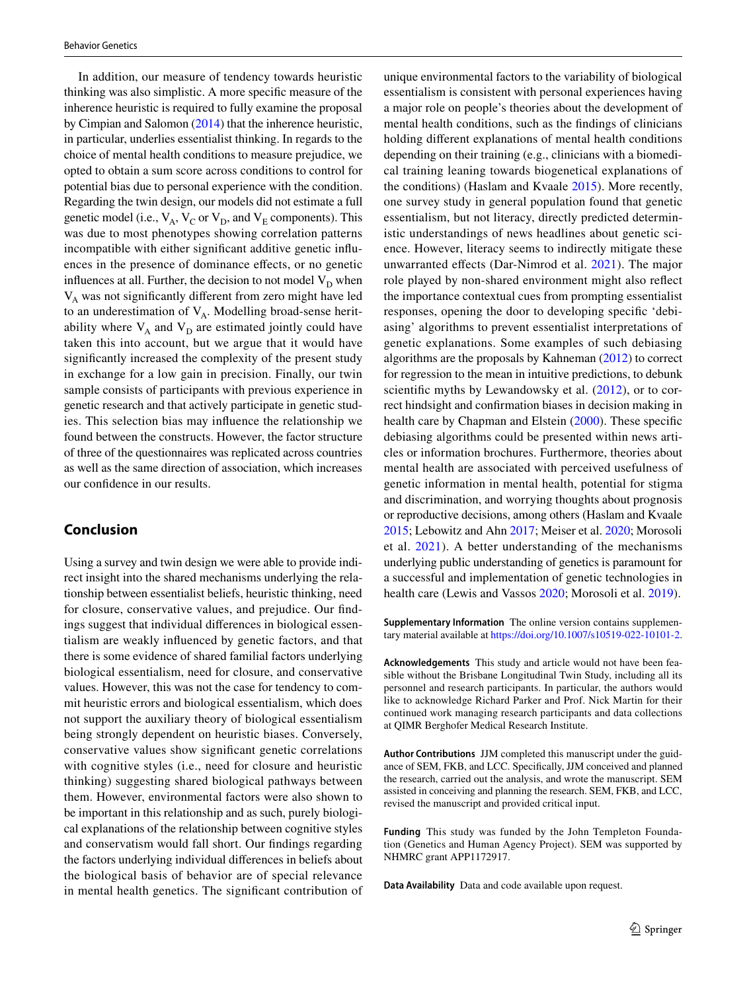In addition, our measure of tendency towards heuristic thinking was also simplistic. A more specific measure of the inherence heuristic is required to fully examine the proposal by Cimpian and Salomon ([2014\)](#page-11-7) that the inherence heuristic, in particular, underlies essentialist thinking. In regards to the choice of mental health conditions to measure prejudice, we opted to obtain a sum score across conditions to control for potential bias due to personal experience with the condition. Regarding the twin design, our models did not estimate a full genetic model (i.e.,  $V_A$ ,  $V_C$  or  $V_D$ , and  $V_E$  components). This was due to most phenotypes showing correlation patterns incompatible with either significant additive genetic influences in the presence of dominance effects, or no genetic influences at all. Further, the decision to not model  $V_D$  when  $V_A$  was not significantly different from zero might have led to an underestimation of  $V_A$ . Modelling broad-sense heritability where  $V_A$  and  $V_D$  are estimated jointly could have taken this into account, but we argue that it would have significantly increased the complexity of the present study in exchange for a low gain in precision. Finally, our twin sample consists of participants with previous experience in genetic research and that actively participate in genetic studies. This selection bias may influence the relationship we found between the constructs. However, the factor structure of three of the questionnaires was replicated across countries as well as the same direction of association, which increases our confidence in our results.

# **Conclusion**

Using a survey and twin design we were able to provide indirect insight into the shared mechanisms underlying the relationship between essentialist beliefs, heuristic thinking, need for closure, conservative values, and prejudice. Our findings suggest that individual differences in biological essentialism are weakly influenced by genetic factors, and that there is some evidence of shared familial factors underlying biological essentialism, need for closure, and conservative values. However, this was not the case for tendency to commit heuristic errors and biological essentialism, which does not support the auxiliary theory of biological essentialism being strongly dependent on heuristic biases. Conversely, conservative values show significant genetic correlations with cognitive styles (i.e., need for closure and heuristic thinking) suggesting shared biological pathways between them. However, environmental factors were also shown to be important in this relationship and as such, purely biological explanations of the relationship between cognitive styles and conservatism would fall short. Our findings regarding the factors underlying individual differences in beliefs about the biological basis of behavior are of special relevance in mental health genetics. The significant contribution of unique environmental factors to the variability of biological essentialism is consistent with personal experiences having a major role on people's theories about the development of mental health conditions, such as the findings of clinicians holding different explanations of mental health conditions depending on their training (e.g., clinicians with a biomedical training leaning towards biogenetical explanations of the conditions) (Haslam and Kvaale [2015](#page-11-0)). More recently, one survey study in general population found that genetic essentialism, but not literacy, directly predicted deterministic understandings of news headlines about genetic science. However, literacy seems to indirectly mitigate these unwarranted effects (Dar-Nimrod et al. [2021](#page-11-34)). The major role played by non-shared environment might also reflect the importance contextual cues from prompting essentialist responses, opening the door to developing specific 'debiasing' algorithms to prevent essentialist interpretations of genetic explanations. Some examples of such debiasing algorithms are the proposals by Kahneman [\(2012\)](#page-11-35) to correct for regression to the mean in intuitive predictions, to debunk scientific myths by Lewandowsky et al. ([2012\)](#page-11-36), or to correct hindsight and confirmation biases in decision making in health care by Chapman and Elstein ([2000](#page-11-37)). These specific debiasing algorithms could be presented within news articles or information brochures. Furthermore, theories about mental health are associated with perceived usefulness of genetic information in mental health, potential for stigma and discrimination, and worrying thoughts about prognosis or reproductive decisions, among others (Haslam and Kvaale [2015](#page-11-0); Lebowitz and Ahn [2017;](#page-11-1) Meiser et al. [2020;](#page-12-2) Morosoli et al. [2021](#page-12-16)). A better understanding of the mechanisms underlying public understanding of genetics is paramount for a successful and implementation of genetic technologies in health care (Lewis and Vassos [2020](#page-11-38); Morosoli et al. [2019](#page-12-32)).

**Supplementary Information** The online version contains supplementary material available at https://doi.org/10.1007/s10519-022-10101-2.

**Acknowledgements** This study and article would not have been feasible without the Brisbane Longitudinal Twin Study, including all its personnel and research participants. In particular, the authors would like to acknowledge Richard Parker and Prof. Nick Martin for their continued work managing research participants and data collections at QIMR Berghofer Medical Research Institute.

**Author Contributions** JJM completed this manuscript under the guidance of SEM, FKB, and LCC. Specifically, JJM conceived and planned the research, carried out the analysis, and wrote the manuscript. SEM assisted in conceiving and planning the research. SEM, FKB, and LCC, revised the manuscript and provided critical input.

**Funding** This study was funded by the John Templeton Foundation (Genetics and Human Agency Project). SEM was supported by NHMRC grant APP1172917.

**Data Availability** Data and code available upon request.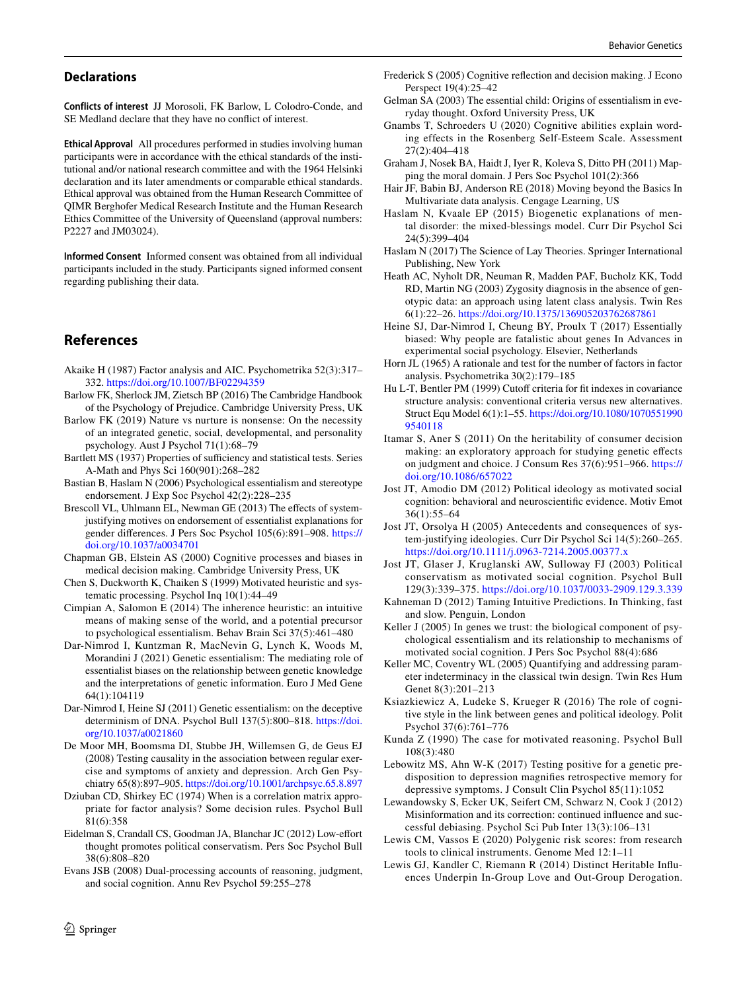#### **Declarations**

**Conflicts of interest** JJ Morosoli, FK Barlow, L Colodro-Conde, and SE Medland declare that they have no conflict of interest.

**Ethical Approval** All procedures performed in studies involving human participants were in accordance with the ethical standards of the institutional and/or national research committee and with the 1964 Helsinki declaration and its later amendments or comparable ethical standards. Ethical approval was obtained from the Human Research Committee of QIMR Berghofer Medical Research Institute and the Human Research Ethics Committee of the University of Queensland (approval numbers: P2227 and JM03024).

**Informed Consent** Informed consent was obtained from all individual participants included in the study. Participants signed informed consent regarding publishing their data.

# **References**

- <span id="page-11-24"></span>Akaike H (1987) Factor analysis and AIC. Psychometrika 52(3):317– 332. https://doi.org/10.1007/BF02294359
- <span id="page-11-17"></span>Barlow FK, Sherlock JM, Zietsch BP (2016) The Cambridge Handbook of the Psychology of Prejudice. Cambridge University Press, UK
- <span id="page-11-27"></span>Barlow FK (2019) Nature vs nurture is nonsense: On the necessity of an integrated genetic, social, developmental, and personality psychology. Aust J Psychol 71(1):68–79
- <span id="page-11-21"></span>Bartlett MS (1937) Properties of sufficiency and statistical tests. Series A-Math and Phys Sci 160(901):268–282
- <span id="page-11-6"></span>Bastian B, Haslam N (2006) Psychological essentialism and stereotype endorsement. J Exp Soc Psychol 42(2):228–235
- <span id="page-11-12"></span>Brescoll VL, Uhlmann EL, Newman GE (2013) The effects of systemjustifying motives on endorsement of essentialist explanations for gender differences. J Pers Soc Psychol 105(6):891–908. [https://](https://doi.org/10.1037/a0034701) doi.org/10.1037/a0034701
- <span id="page-11-37"></span>Chapman GB, Elstein AS (2000) Cognitive processes and biases in medical decision making. Cambridge University Press, UK
- <span id="page-11-9"></span>Chen S, Duckworth K, Chaiken S (1999) Motivated heuristic and systematic processing. Psychol Inq 10(1):44–49
- <span id="page-11-7"></span>Cimpian A, Salomon E (2014) The inherence heuristic: an intuitive means of making sense of the world, and a potential precursor to psychological essentialism. Behav Brain Sci 37(5):461–480
- <span id="page-11-34"></span>Dar-Nimrod I, Kuntzman R, MacNevin G, Lynch K, Woods M, Morandini J (2021) Genetic essentialism: The mediating role of essentialist biases on the relationship between genetic knowledge and the interpretations of genetic information. Euro J Med Gene 64(1):104119
- <span id="page-11-2"></span>Dar-Nimrod I, Heine SJ (2011) Genetic essentialism: on the deceptive determinism of DNA. Psychol Bull 137(5):800-818. https://doi. org/10.1037/a0021860
- <span id="page-11-28"></span>De Moor MH, Boomsma DI, Stubbe JH, Willemsen G, de Geus EJ (2008) Testing causality in the association between regular exercise and symptoms of anxiety and depression. Arch Gen Psychiatry 65(8):897–905. https://doi.org/10.1001/archpsyc.65.8.897
- <span id="page-11-22"></span>Dziuban CD, Shirkey EC (1974) When is a correlation matrix appropriate for factor analysis? Some decision rules. Psychol Bull 81(6):358
- <span id="page-11-31"></span>Eidelman S, Crandall CS, Goodman JA, Blanchar JC (2012) Low-effort thought promotes political conservatism. Pers Soc Psychol Bull 38(6):808–820
- <span id="page-11-8"></span>Evans JSB (2008) Dual-processing accounts of reasoning, judgment, and social cognition. Annu Rev Psychol 59:255–278
- <span id="page-11-18"></span>Frederick S (2005) Cognitive reflection and decision making. J Econo Perspect 19(4):25–42
- <span id="page-11-3"></span>Gelman SA (2003) The essential child: Origins of essentialism in everyday thought. Oxford University Press, UK
- <span id="page-11-33"></span>Gnambs T, Schroeders U (2020) Cognitive abilities explain wording effects in the Rosenberg Self-Esteem Scale. Assessment 27(2):404–418
- <span id="page-11-19"></span>Graham J, Nosek BA, Haidt J, Iyer R, Koleva S, Ditto PH (2011) Mapping the moral domain. J Pers Soc Psychol 101(2):366
- <span id="page-11-20"></span>Hair JF, Babin BJ, Anderson RE (2018) Moving beyond the Basics In Multivariate data analysis. Cengage Learning, US
- <span id="page-11-0"></span>Haslam N, Kvaale EP (2015) Biogenetic explanations of mental disorder: the mixed-blessings model. Curr Dir Psychol Sci 24(5):399–404
- <span id="page-11-4"></span>Haslam N (2017) The Science of Lay Theories. Springer International Publishing, New York
- <span id="page-11-26"></span>Heath AC, Nyholt DR, Neuman R, Madden PAF, Bucholz KK, Todd RD, Martin NG (2003) Zygosity diagnosis in the absence of genotypic data: an approach using latent class analysis. Twin Res 6(1):22–26. https://doi.org/10.1375/136905203762687861
- <span id="page-11-5"></span>Heine SJ, Dar-Nimrod I, Cheung BY, Proulx T (2017) Essentially biased: Why people are fatalistic about genes In Advances in experimental social psychology. Elsevier, Netherlands
- <span id="page-11-23"></span>Horn JL (1965) A rationale and test for the number of factors in factor analysis. Psychometrika 30(2):179–185
- <span id="page-11-25"></span>Hu L-T, Bentler PM (1999) Cutoff criteria for fit indexes in covariance structure analysis: conventional criteria versus new alternatives. Struct Equ Model 6(1):1-55. https://doi.org/10.1080/1070551990 [95401 18](https://doi.org/10.1080/10705519909540118)
- <span id="page-11-15"></span>Itamar S, Aner S (2011) On the heritability of consumer decision making: an exploratory approach for studying genetic effects on judgment and choice. J Consum Res 37(6):951–966. [https://](https://doi.org/10.1086/657022) doi.org/10.1086/657022
- <span id="page-11-32"></span>Jost JT, Amodio DM (2012) Political ideology as motivated social cognition: behavioral and neuroscientific evidence. Motiv Emot 36(1):55–64
- <span id="page-11-11"></span>Jost JT, Orsolya H (2005) Antecedents and consequences of system-justifying ideologies. Curr Dir Psychol Sci 14(5):260–265. https://doi.org/10.1111/j.0963-7214.2005.00377.x
- <span id="page-11-14"></span>Jost JT, Glaser J, Kruglanski AW, Sulloway FJ (2003) Political conservatism as motivated social cognition. Psychol Bull 129(3):339-375. https://doi.org/10.1037/0033-2909.129.3.339
- <span id="page-11-35"></span>Kahneman D (2012) Taming Intuitive Predictions. In Thinking, fast and slow. Penguin, London
- <span id="page-11-13"></span>Keller J (2005) In genes we trust: the biological component of psychological essentialism and its relationship to mechanisms of motivated social cognition. J Pers Soc Psychol 88(4):686
- <span id="page-11-30"></span>Keller MC, Coventry WL (2005) Quantifying and addressing parameter indeterminacy in the classical twin design. Twin Res Hum Genet 8(3):201–213
- <span id="page-11-16"></span>Ksiazkiewicz A, Ludeke S, Krueger R (2016) The role of cognitive style in the link between genes and political ideology. Polit Psychol 37(6):761–776
- <span id="page-11-10"></span>Kunda Z (1990) The case for motivated reasoning. Psychol Bull 108(3):480
- <span id="page-11-1"></span>Lebowitz MS, Ahn W-K (2017) Testing positive for a genetic predisposition to depression magnifies retrospective memory for depressive symptoms. J Consult Clin Psychol 85(11):1052
- <span id="page-11-36"></span>Lewandowsky S, Ecker UK, Seifert CM, Schwarz N, Cook J (2012) Misinformation and its correction: continued influence and successful debiasing. Psychol Sci Pub Inter 13(3):106–131
- <span id="page-11-38"></span>Lewis CM, Vassos E (2020) Polygenic risk scores: from research tools to clinical instruments. Genome Med 12:1–11
- <span id="page-11-29"></span>Lewis GJ, Kandler C, Riemann R (2014) Distinct Heritable Influences Underpin In-Group Love and Out-Group Derogation.